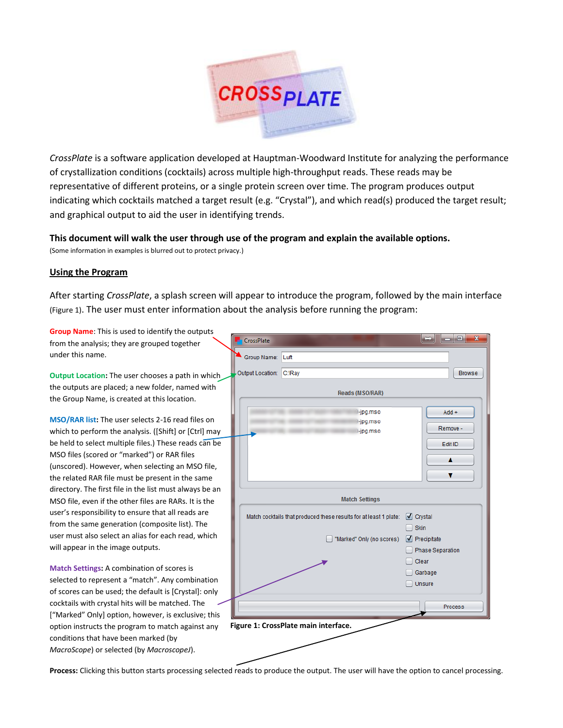

*CrossPlate* is a software application developed at Hauptman-Woodward Institute for analyzing the performance of crystallization conditions (cocktails) across multiple high-throughput reads. These reads may be representative of different proteins, or a single protein screen over time. The program produces output indicating which cocktails matched a target result (e.g. "Crystal"), and which read(s) produced the target result; and graphical output to aid the user in identifying trends.

## **This document will walk the user through use of the program and explain the available options.**

(Some information in examples is blurred out to protect privacy.)

## **Using the Program**

After starting *CrossPlate*, a splash screen will appear to introduce the program, followed by the main interface (Figure 1). The user must enter information about the analysis before running the program:

**Group Name**: This is used to identify the outputs from the analysis; they are grouped together under this name.

**Output Location:** The user chooses a path in which the outputs are placed; a new folder, named with the Group Name, is created at this location.

**MSO/RAR list:** The user selects 2-16 read files on which to perform the analysis. ([Shift] or [Ctrl] may be held to select multiple files.) These reads can be MSO files (scored or "marked") or RAR files (unscored). However, when selecting an MSO file, the related RAR file must be present in the same directory. The first file in the list must always be an MSO file, even if the other files are RARs. It is the user's responsibility to ensure that all reads are from the same generation (composite list). The user must also select an alias for each read, which will appear in the image outputs.

**Match Settings:** A combination of scores is selected to represent a "match". Any combination of scores can be used; the default is [Crystal]: only cocktails with crystal hits will be matched. The ["Marked" Only] option, however, is exclusive; this option instructs the program to match against any conditions that have been marked (by *MacroScope*) or selected (by *MacroscopeJ*).

| Group Name: Luft        |                                                                   |                                |
|-------------------------|-------------------------------------------------------------------|--------------------------------|
| Output Location: C:\Ray |                                                                   | <b>Browse</b>                  |
|                         | Reads (MSO/RAR)                                                   |                                |
|                         | -jpg.mso<br>-jpg.mso<br>i-jpg.mso                                 | $Add +$<br>Remove -<br>Edit ID |
|                         |                                                                   | ۸                              |
|                         | <b>Match Settings</b>                                             |                                |
|                         | Match cocktails that produced these results for at least 1 plate: | $\sqrt{ }$ Crystal<br>Skin     |
|                         | "Marked" Only (no scores)                                         | $\sqrt{ }$ Precipitate         |
|                         |                                                                   | Phase Separation               |
|                         |                                                                   | Clear                          |
|                         |                                                                   | Garbage<br>Unsure              |
|                         |                                                                   | Process                        |
|                         | Figure 1: CrossPlate main interface.                              |                                |

**Process:** Clicking this button starts processing selected reads to produce the output. The user will have the option to cancel processing.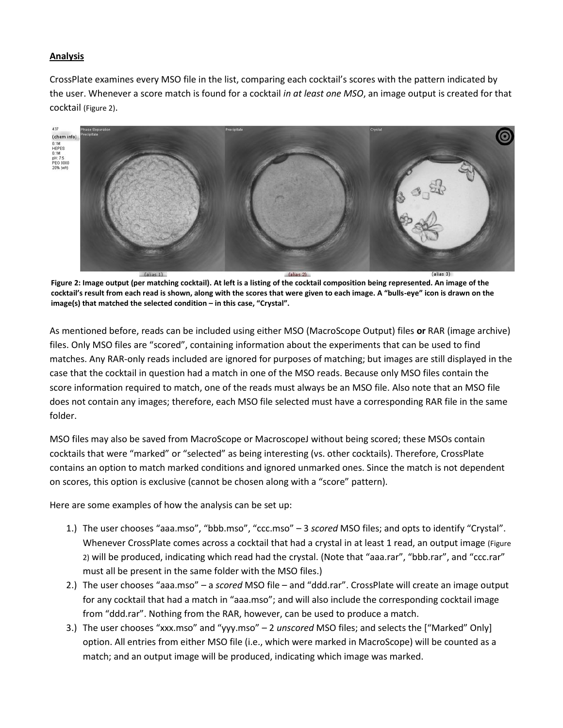## **Analysis**

CrossPlate examines every MSO file in the list, comparing each cocktail's scores with the pattern indicated by the user. Whenever a score match is found for a cocktail *in at least one MSO*, an image output is created for that cocktail (Figure 2).



**Figure 2: Image output (per matching cocktail). At left is a listing of the cocktail composition being represented. An image of the cocktail's result from each read is shown, along with the scores that were given to each image. A "bulls-eye" icon is drawn on the image(s) that matched the selected condition – in this case, "Crystal".**

As mentioned before, reads can be included using either MSO (MacroScope Output) files **or** RAR (image archive) files. Only MSO files are "scored", containing information about the experiments that can be used to find matches. Any RAR-only reads included are ignored for purposes of matching; but images are still displayed in the case that the cocktail in question had a match in one of the MSO reads. Because only MSO files contain the score information required to match, one of the reads must always be an MSO file. Also note that an MSO file does not contain any images; therefore, each MSO file selected must have a corresponding RAR file in the same folder.

MSO files may also be saved from MacroScope or MacroscopeJ without being scored; these MSOs contain cocktails that were "marked" or "selected" as being interesting (vs. other cocktails). Therefore, CrossPlate contains an option to match marked conditions and ignored unmarked ones. Since the match is not dependent on scores, this option is exclusive (cannot be chosen along with a "score" pattern).

Here are some examples of how the analysis can be set up:

- 1.) The user chooses "aaa.mso", "bbb.mso", "ccc.mso" 3 *scored* MSO files; and opts to identify "Crystal". Whenever CrossPlate comes across a cocktail that had a crystal in at least 1 read, an output image (Figure 2) will be produced, indicating which read had the crystal. (Note that "aaa.rar", "bbb.rar", and "ccc.rar" must all be present in the same folder with the MSO files.)
- 2.) The user chooses "aaa.mso" a *scored* MSO file and "ddd.rar". CrossPlate will create an image output for any cocktail that had a match in "aaa.mso"; and will also include the corresponding cocktail image from "ddd.rar". Nothing from the RAR, however, can be used to produce a match.
- 3.) The user chooses "xxx.mso" and "yyy.mso" 2 *unscored* MSO files; and selects the ["Marked" Only] option. All entries from either MSO file (i.e., which were marked in MacroScope) will be counted as a match; and an output image will be produced, indicating which image was marked.